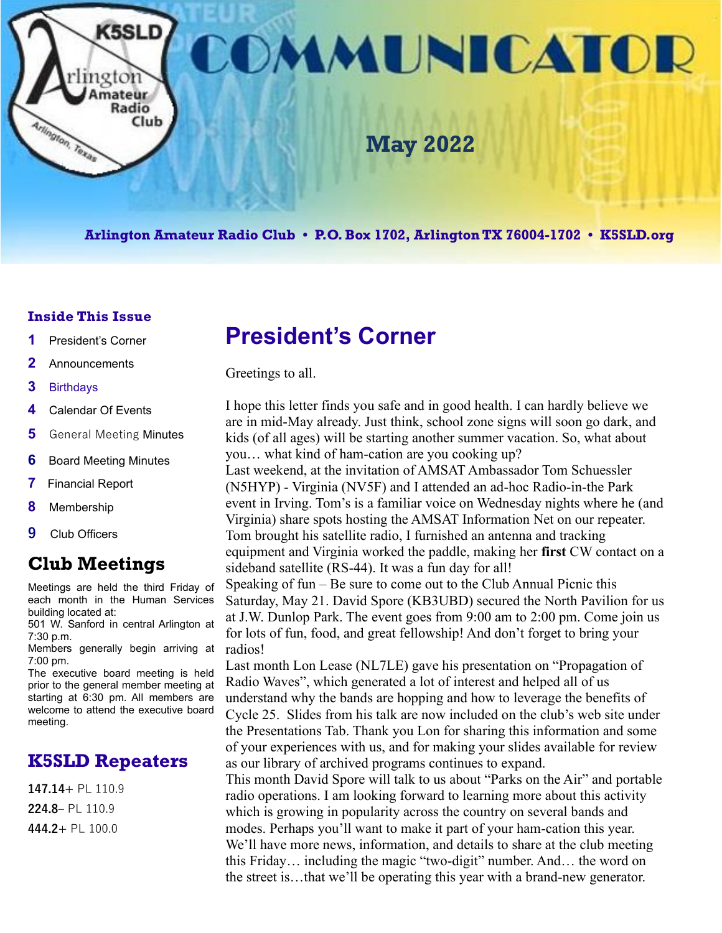

**Arlington Amateur Radio Club • P.O. Box 1702, Arlington TX 76004-1702 • K5SLD.org**

#### **Inside This Issue**

- **1** President's Corner
- **2** Announcements
- **3** Birthdays
- **4** Calendar Of Events
- **5** General Meeting Minutes
- **6** Board Meeting Minutes
- **7** Financial Report
- **8** Membership
- **9** Club Officers

### **Club Meetings**

Meetings are held the third Friday of each month in the Human Services building located at:

501 W. Sanford in central Arlington at 7:30 p.m.

Members generally begin arriving at 7:00 pm.

The executive board meeting is held prior to the general member meeting at starting at 6:30 pm. All members are welcome to attend the executive board meeting.

### **K5SLD Repeaters**

**147.14+** PL 110.9 **224.8–** PL 110.9 **444.2+** PL 100.0

# **President's Corner**

Greetings to all.

I hope this letter finds you safe and in good health. I can hardly believe we are in mid-May already. Just think, school zone signs will soon go dark, and kids (of all ages) will be starting another summer vacation. So, what about you… what kind of ham-cation are you cooking up?

Last weekend, at the invitation of AMSAT Ambassador Tom Schuessler (N5HYP) - Virginia (NV5F) and I attended an ad-hoc Radio-in-the Park event in Irving. Tom's is a familiar voice on Wednesday nights where he (and Virginia) share spots hosting the AMSAT Information Net on our repeater. Tom brought his satellite radio, I furnished an antenna and tracking equipment and Virginia worked the paddle, making her **first** CW contact on a sideband satellite (RS-44). It was a fun day for all!

Speaking of fun – Be sure to come out to the Club Annual Picnic this Saturday, May 21. David Spore (KB3UBD) secured the North Pavilion for us at J.W. Dunlop Park. The event goes from 9:00 am to 2:00 pm. Come join us for lots of fun, food, and great fellowship! And don't forget to bring your radios!

Last month Lon Lease (NL7LE) gave his presentation on "Propagation of Radio Waves", which generated a lot of interest and helped all of us understand why the bands are hopping and how to leverage the benefits of Cycle 25. Slides from his talk are now included on the club's web site under the Presentations Tab. Thank you Lon for sharing this information and some of your experiences with us, and for making your slides available for review as our library of archived programs continues to expand.

This month David Spore will talk to us about "Parks on the Air" and portable radio operations. I am looking forward to learning more about this activity which is growing in popularity across the country on several bands and modes. Perhaps you'll want to make it part of your ham-cation this year. We'll have more news, information, and details to share at the club meeting this Friday… including the magic "two-digit" number. And… the word on the street is…that we'll be operating this year with a brand-new generator.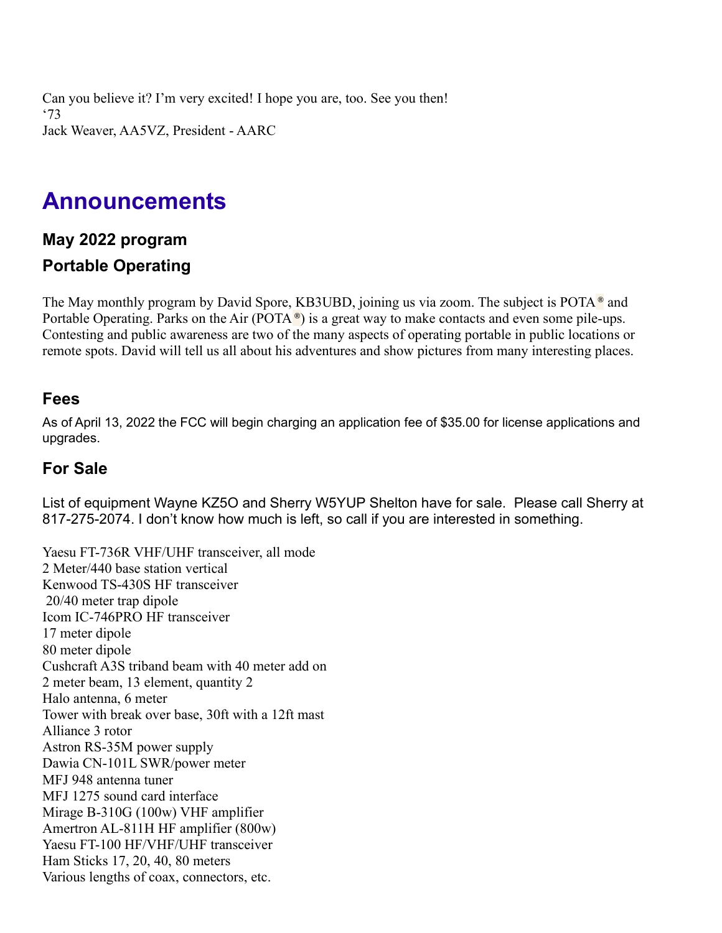Can you believe it? I'm very excited! I hope you are, too. See you then! '73 Jack Weaver, AA5VZ, President - AARC

## **Announcements**

### **May 2022 program Portable Operating**

The May monthly program by David Spore, KB3UBD, joining us via zoom. The subject is POTA **®** and Portable Operating. Parks on the Air (POTA **®**) is a great way to make contacts and even some pile-ups. Contesting and public awareness are two of the many aspects of operating portable in public locations or remote spots. David will tell us all about his adventures and show pictures from many interesting places.

#### **Fees**

As of April 13, 2022 the FCC will begin charging an application fee of \$35.00 for license applications and upgrades.

#### **For Sale**

List of equipment Wayne KZ5O and Sherry W5YUP Shelton have for sale. Please call Sherry at 817-275-2074. I don't know how much is left, so call if you are interested in something.

Yaesu FT-736R VHF/UHF transceiver, all mode 2 Meter/440 base station vertical Kenwood TS-430S HF transceiver 20/40 meter trap dipole Icom IC-746PRO HF transceiver 17 meter dipole 80 meter dipole Cushcraft A3S triband beam with 40 meter add on 2 meter beam, 13 element, quantity 2 Halo antenna, 6 meter Tower with break over base, 30ft with a 12ft mast Alliance 3 rotor Astron RS-35M power supply Dawia CN-101L SWR/power meter MFJ 948 antenna tuner MFJ 1275 sound card interface Mirage B-310G (100w) VHF amplifier Amertron AL-811H HF amplifier (800w) Yaesu FT-100 HF/VHF/UHF transceiver Ham Sticks 17, 20, 40, 80 meters Various lengths of coax, connectors, etc.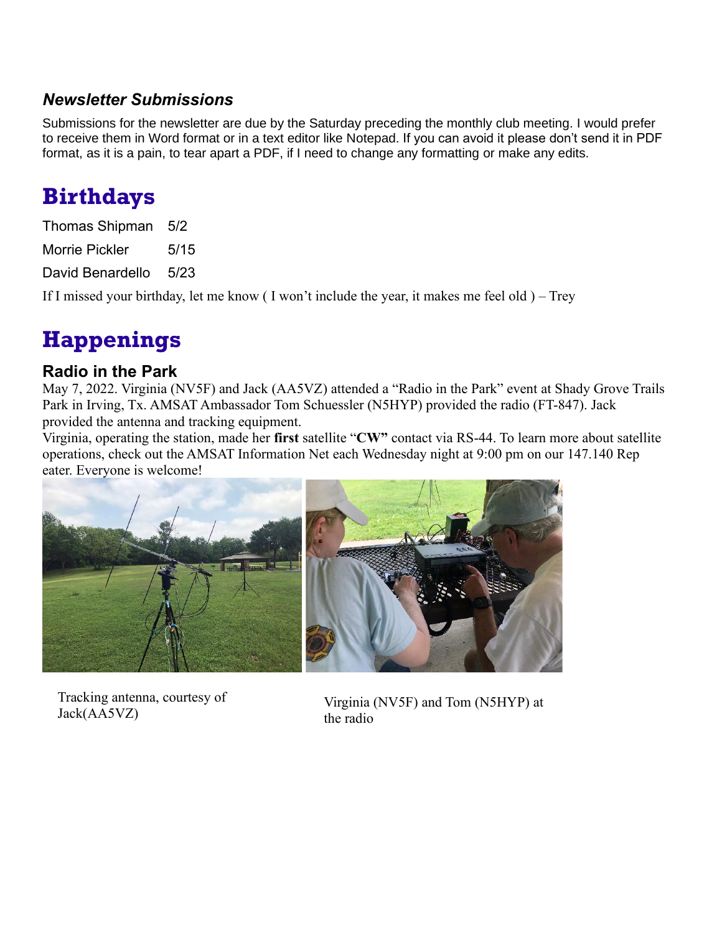### *Newsletter Submissions*

Submissions for the newsletter are due by the Saturday preceding the monthly club meeting. I would prefer to receive them in Word format or in a text editor like Notepad. If you can avoid it please don't send it in PDF format, as it is a pain, to tear apart a PDF, if I need to change any formatting or make any edits.

## **Birthdays**

| Thomas Shipman        | 5/2  |
|-----------------------|------|
| <b>Morrie Pickler</b> | 5/15 |
| David Benardello      | 5/23 |

If I missed your birthday, let me know ( I won't include the year, it makes me feel old ) – Trey

# **Happenings**

### **Radio in the Park**

May 7, 2022. Virginia (NV5F) and Jack (AA5VZ) attended a "Radio in the Park" event at Shady Grove Trails Park in Irving, Tx. AMSAT Ambassador Tom Schuessler (N5HYP) provided the radio (FT-847). Jack provided the antenna and tracking equipment.

Virginia, operating the station, made her **first** satellite "**CW"** contact via RS-44. To learn more about satellite operations, check out the AMSAT Information Net each Wednesday night at 9:00 pm on our 147.140 Rep eater. Everyone is welcome!



Tracking antenna, courtesy of Jack(AA5VZ)

Virginia (NV5F) and Tom (N5HYP) at the radio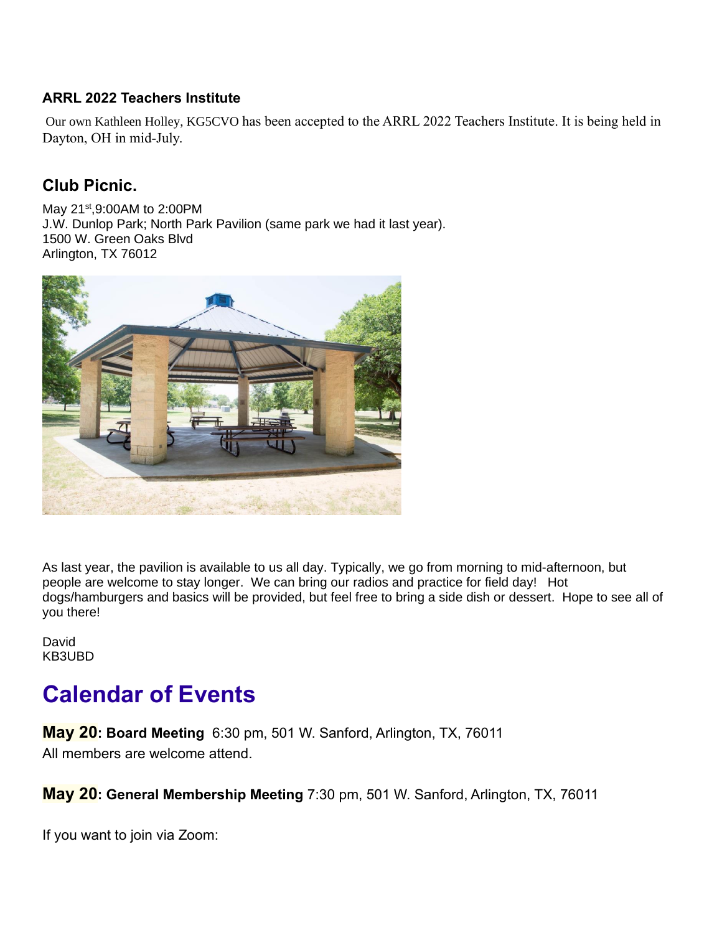#### **ARRL 2022 Teachers Institute**

Our own Kathleen Holley, KG5CVO has been accepted to the ARRL 2022 Teachers Institute. It is being held in Dayton, OH in mid-July.

### **Club Picnic.**

May 21<sup>st</sup>,9:00AM to 2:00PM J.W. Dunlop Park; North Park Pavilion (same park we had it last year). 1500 W. Green Oaks Blvd Arlington, TX 76012



As last year, the pavilion is available to us all day. Typically, we go from morning to mid-afternoon, but people are welcome to stay longer. We can bring our radios and practice for field day! Hot dogs/hamburgers and basics will be provided, but feel free to bring a side dish or dessert. Hope to see all of you there!

David KB3UBD

# **Calendar of Events**

**May 20: Board Meeting** 6:30 pm, 501 W. Sanford, Arlington, TX, 76011 All members are welcome attend.

**May 20: General Membership Meeting** 7:30 pm, 501 W. Sanford, Arlington, TX, 76011

If you want to join via Zoom: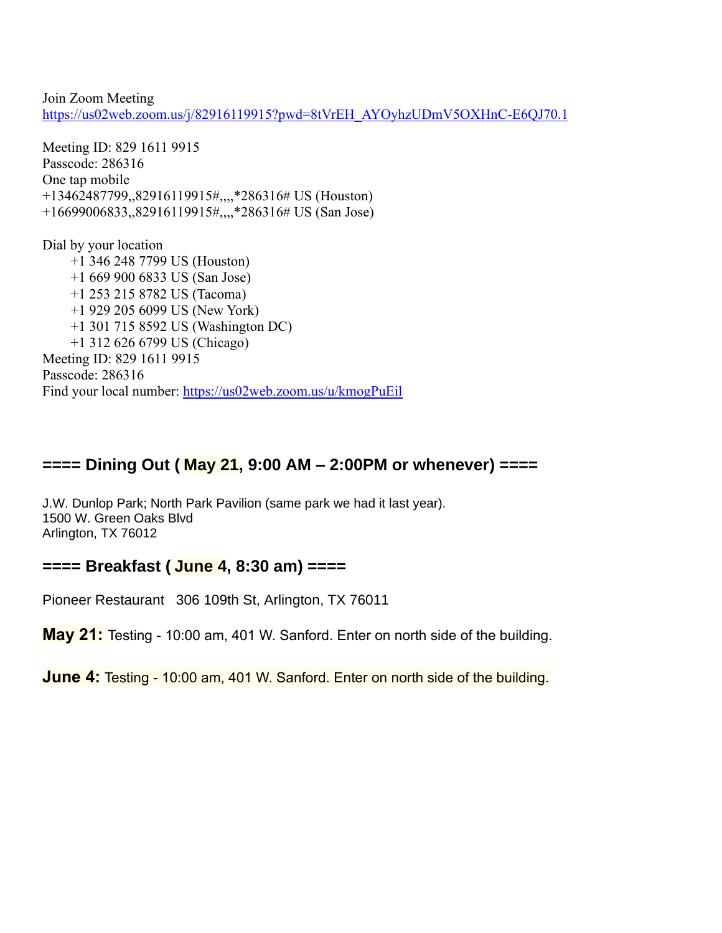Join Zoom Meeting [https://us02web.zoom.us/j/82916119915?pwd=8tVrEH\\_AYOyhzUDmV5OXHnC-E6QJ70.1](https://us02web.zoom.us/j/82916119915?pwd=8tVrEH_AYOyhzUDmV5OXHnC-E6QJ70.1)

Meeting ID: 829 1611 9915 Passcode: 286316 One tap mobile +13462487799,,82916119915#,,,,\*286316# US (Houston) +16699006833,,82916119915#,,,,\*286316# US (San Jose)

Dial by your location +1 346 248 7799 US (Houston) +1 669 900 6833 US (San Jose) +1 253 215 8782 US (Tacoma) +1 929 205 6099 US (New York) +1 301 715 8592 US (Washington DC) +1 312 626 6799 US (Chicago) Meeting ID: 829 1611 9915 Passcode: 286316 Find your local number:<https://us02web.zoom.us/u/kmogPuEil>

#### **==== Dining Out ( May 21, 9:00 AM – 2:00PM or whenever) ====**

J.W. Dunlop Park; North Park Pavilion (same park we had it last year). 1500 W. Green Oaks Blvd Arlington, TX 76012

#### **==== Breakfast ( June 4, 8:30 am) ====**

Pioneer Restaurant 306 109th St, Arlington, TX 76011

**May 21:** Testing - 10:00 am, 401 W. Sanford. Enter on north side of the building.

**June 4:** Testing - 10:00 am, 401 W. Sanford. Enter on north side of the building.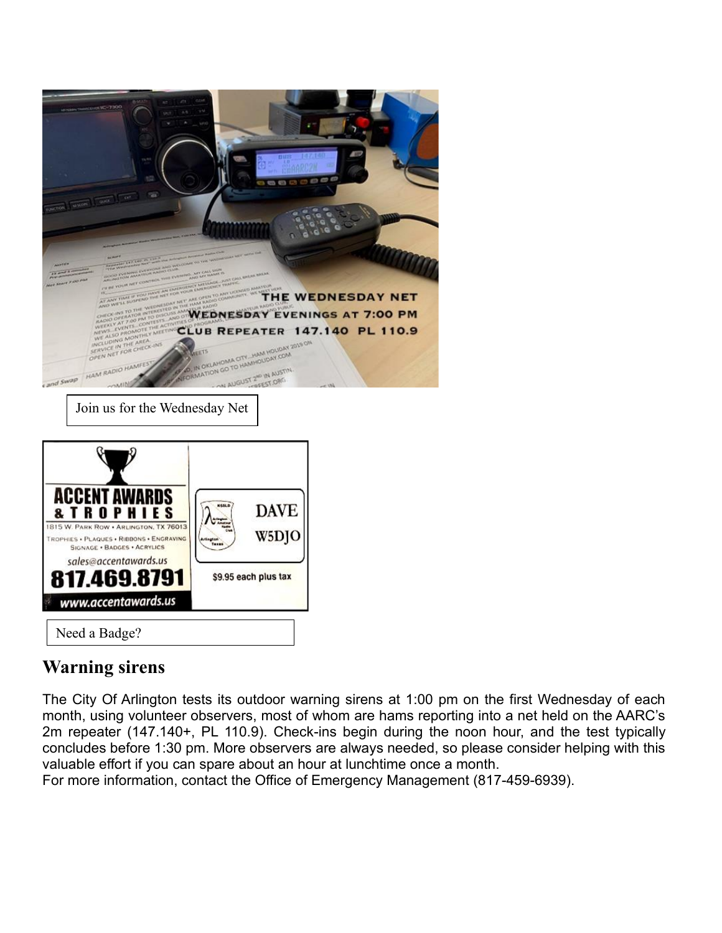

| <b>ACCENT AWAI</b><br><b>&amp; T R O P H I E S</b><br>1815 W. PARK ROW . ARLINGTON, TX 76013<br><b>TROPHIES . PLAQUES . RIBBONS . ENGRAVING</b><br>SIGNAGE . BADGES . ACRYLICS<br>sales@accentawards.us |                      | <b>DAVE</b><br>W5DJO |
|---------------------------------------------------------------------------------------------------------------------------------------------------------------------------------------------------------|----------------------|----------------------|
| 817.469.8791                                                                                                                                                                                            | \$9.95 each plus tax |                      |
| www.accentawards.us                                                                                                                                                                                     |                      |                      |

### **Warning sirens**

The City Of Arlington tests its outdoor warning sirens at 1:00 pm on the first Wednesday of each month, using volunteer observers, most of whom are hams reporting into a net held on the AARC's 2m repeater (147.140+, PL 110.9). Check-ins begin during the noon hour, and the test typically concludes before 1:30 pm. More observers are always needed, so please consider helping with this valuable effort if you can spare about an hour at lunchtime once a month.

For more information, contact the Office of Emergency Management (817-459-6939).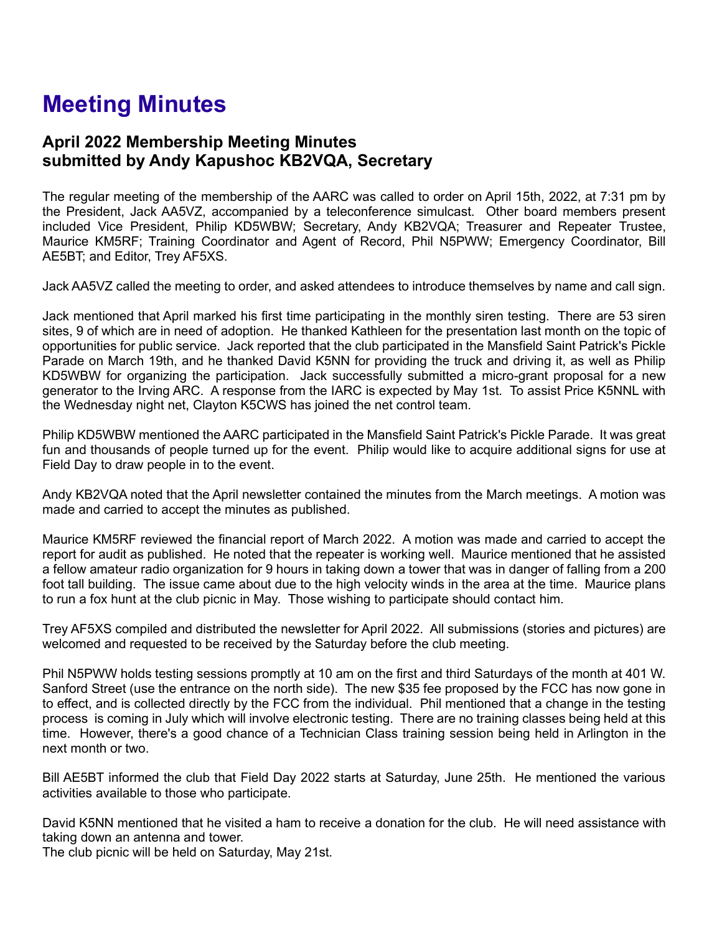# **Meeting Minutes**

#### **April 2022 Membership Meeting Minutes submitted by Andy Kapushoc KB2VQA, Secretary**

The regular meeting of the membership of the AARC was called to order on April 15th, 2022, at 7:31 pm by the President, Jack AA5VZ, accompanied by a teleconference simulcast. Other board members present included Vice President, Philip KD5WBW; Secretary, Andy KB2VQA; Treasurer and Repeater Trustee, Maurice KM5RF; Training Coordinator and Agent of Record, Phil N5PWW; Emergency Coordinator, Bill AE5BT; and Editor, Trey AF5XS.

Jack AA5VZ called the meeting to order, and asked attendees to introduce themselves by name and call sign.

Jack mentioned that April marked his first time participating in the monthly siren testing. There are 53 siren sites, 9 of which are in need of adoption. He thanked Kathleen for the presentation last month on the topic of opportunities for public service. Jack reported that the club participated in the Mansfield Saint Patrick's Pickle Parade on March 19th, and he thanked David K5NN for providing the truck and driving it, as well as Philip KD5WBW for organizing the participation. Jack successfully submitted a micro-grant proposal for a new generator to the Irving ARC. A response from the IARC is expected by May 1st. To assist Price K5NNL with the Wednesday night net, Clayton K5CWS has joined the net control team.

Philip KD5WBW mentioned the AARC participated in the Mansfield Saint Patrick's Pickle Parade. It was great fun and thousands of people turned up for the event. Philip would like to acquire additional signs for use at Field Day to draw people in to the event.

Andy KB2VQA noted that the April newsletter contained the minutes from the March meetings. A motion was made and carried to accept the minutes as published.

Maurice KM5RF reviewed the financial report of March 2022. A motion was made and carried to accept the report for audit as published. He noted that the repeater is working well. Maurice mentioned that he assisted a fellow amateur radio organization for 9 hours in taking down a tower that was in danger of falling from a 200 foot tall building. The issue came about due to the high velocity winds in the area at the time. Maurice plans to run a fox hunt at the club picnic in May. Those wishing to participate should contact him.

Trey AF5XS compiled and distributed the newsletter for April 2022. All submissions (stories and pictures) are welcomed and requested to be received by the Saturday before the club meeting.

Phil N5PWW holds testing sessions promptly at 10 am on the first and third Saturdays of the month at 401 W. Sanford Street (use the entrance on the north side). The new \$35 fee proposed by the FCC has now gone in to effect, and is collected directly by the FCC from the individual. Phil mentioned that a change in the testing process is coming in July which will involve electronic testing. There are no training classes being held at this time. However, there's a good chance of a Technician Class training session being held in Arlington in the next month or two.

Bill AE5BT informed the club that Field Day 2022 starts at Saturday, June 25th. He mentioned the various activities available to those who participate.

David K5NN mentioned that he visited a ham to receive a donation for the club. He will need assistance with taking down an antenna and tower.

The club picnic will be held on Saturday, May 21st.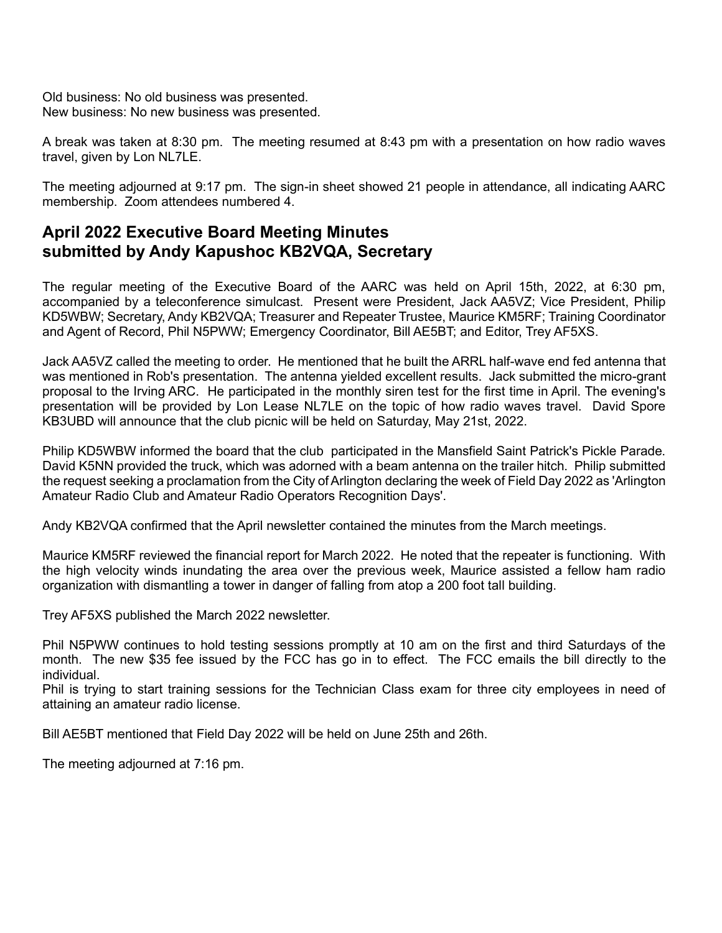Old business: No old business was presented. New business: No new business was presented.

A break was taken at 8:30 pm. The meeting resumed at 8:43 pm with a presentation on how radio waves travel, given by Lon NL7LE.

The meeting adjourned at 9:17 pm. The sign-in sheet showed 21 people in attendance, all indicating AARC membership. Zoom attendees numbered 4.

### **April 2022 Executive Board Meeting Minutes submitted by Andy Kapushoc KB2VQA, Secretary**

The regular meeting of the Executive Board of the AARC was held on April 15th, 2022, at 6:30 pm, accompanied by a teleconference simulcast. Present were President, Jack AA5VZ; Vice President, Philip KD5WBW; Secretary, Andy KB2VQA; Treasurer and Repeater Trustee, Maurice KM5RF; Training Coordinator and Agent of Record, Phil N5PWW; Emergency Coordinator, Bill AE5BT; and Editor, Trey AF5XS.

Jack AA5VZ called the meeting to order. He mentioned that he built the ARRL half-wave end fed antenna that was mentioned in Rob's presentation. The antenna yielded excellent results. Jack submitted the micro-grant proposal to the Irving ARC. He participated in the monthly siren test for the first time in April. The evening's presentation will be provided by Lon Lease NL7LE on the topic of how radio waves travel. David Spore KB3UBD will announce that the club picnic will be held on Saturday, May 21st, 2022.

Philip KD5WBW informed the board that the club participated in the Mansfield Saint Patrick's Pickle Parade. David K5NN provided the truck, which was adorned with a beam antenna on the trailer hitch. Philip submitted the request seeking a proclamation from the City of Arlington declaring the week of Field Day 2022 as 'Arlington Amateur Radio Club and Amateur Radio Operators Recognition Days'.

Andy KB2VQA confirmed that the April newsletter contained the minutes from the March meetings.

Maurice KM5RF reviewed the financial report for March 2022. He noted that the repeater is functioning. With the high velocity winds inundating the area over the previous week, Maurice assisted a fellow ham radio organization with dismantling a tower in danger of falling from atop a 200 foot tall building.

Trey AF5XS published the March 2022 newsletter.

Phil N5PWW continues to hold testing sessions promptly at 10 am on the first and third Saturdays of the month. The new \$35 fee issued by the FCC has go in to effect. The FCC emails the bill directly to the individual.

Phil is trying to start training sessions for the Technician Class exam for three city employees in need of attaining an amateur radio license.

Bill AE5BT mentioned that Field Day 2022 will be held on June 25th and 26th.

The meeting adjourned at 7:16 pm.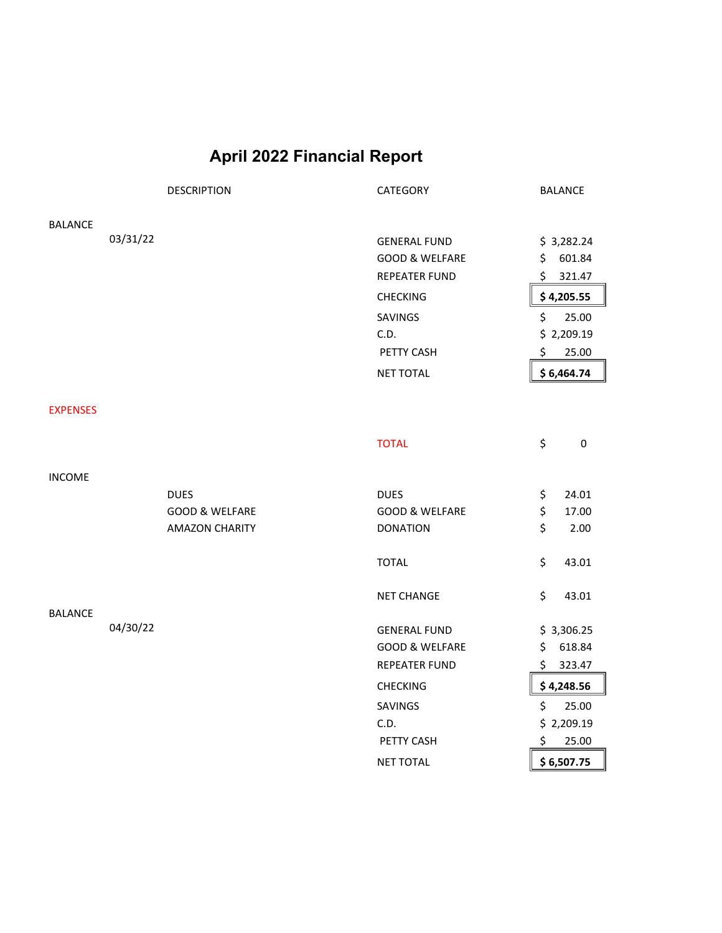### **April 2022 Financial Report**

|                 |          | <b>DESCRIPTION</b>        | CATEGORY                                         | <b>BALANCE</b>             |
|-----------------|----------|---------------------------|--------------------------------------------------|----------------------------|
| <b>BALANCE</b>  |          |                           |                                                  |                            |
|                 | 03/31/22 |                           | <b>GENERAL FUND</b>                              | \$3,282.24                 |
|                 |          |                           | <b>GOOD &amp; WELFARE</b>                        | 601.84<br>\$               |
|                 |          |                           | <b>REPEATER FUND</b>                             | \$<br>321.47               |
|                 |          |                           | <b>CHECKING</b>                                  | \$4,205.55                 |
|                 |          |                           | SAVINGS                                          | \$<br>25.00                |
|                 |          |                           | C.D.                                             | \$2,209.19                 |
|                 |          |                           | PETTY CASH                                       | \$<br>25.00                |
|                 |          |                           | <b>NET TOTAL</b>                                 | \$6,464.74                 |
|                 |          |                           |                                                  |                            |
| <b>EXPENSES</b> |          |                           |                                                  |                            |
|                 |          |                           | <b>TOTAL</b>                                     | \$<br>$\pmb{0}$            |
| <b>INCOME</b>   |          |                           |                                                  |                            |
|                 |          | <b>DUES</b>               | <b>DUES</b>                                      | \$<br>24.01                |
|                 |          | <b>GOOD &amp; WELFARE</b> | <b>GOOD &amp; WELFARE</b>                        | \$<br>17.00                |
|                 |          | <b>AMAZON CHARITY</b>     | <b>DONATION</b>                                  | \$<br>2.00                 |
|                 |          |                           | <b>TOTAL</b>                                     | \$<br>43.01                |
|                 |          |                           | <b>NET CHANGE</b>                                | \$<br>43.01                |
| <b>BALANCE</b>  | 04/30/22 |                           |                                                  |                            |
|                 |          |                           | <b>GENERAL FUND</b><br><b>GOOD &amp; WELFARE</b> | \$3,306.25<br>\$<br>618.84 |
|                 |          |                           | <b>REPEATER FUND</b>                             | 323.47<br>\$.              |
|                 |          |                           | <b>CHECKING</b>                                  | \$4,248.56                 |
|                 |          |                           |                                                  | \$<br>25.00                |
|                 |          |                           | SAVINGS<br>C.D.                                  | \$2,209.19                 |
|                 |          |                           | PETTY CASH                                       | \$<br>25.00                |
|                 |          |                           |                                                  |                            |
|                 |          |                           | <b>NET TOTAL</b>                                 | \$6,507.75                 |